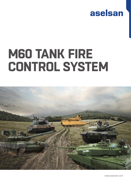

## **M60 TANK FIRE CONTROL SYSTEM**